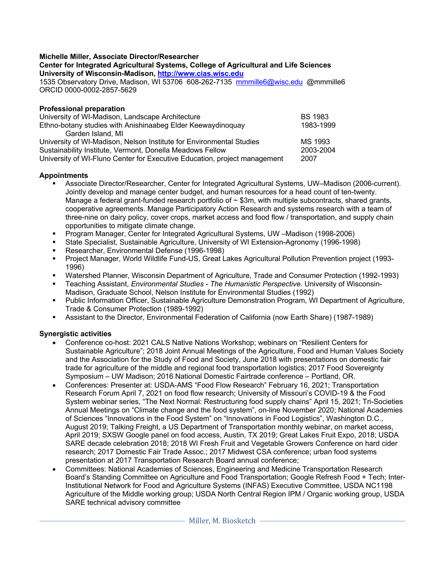### **Michelle Miller, Associate Director/Researcher**

#### **Center for Integrated Agricultural Systems, College of Agricultural and Life Sciences University of Wisconsin-Madison, http://www.cias.wisc.edu**

1535 Observatory Drive, Madison, WI 53706 608-262-7135 mmmille6@wisc.edu @mmmille6 ORCID 0000-0002-2857-5629

### **Professional preparation**

| University of WI-Madison, Landscape Architecture                          | <b>BS 1983</b> |
|---------------------------------------------------------------------------|----------------|
| Ethno-botany studies with Anishinaabeg Elder Keewaydinoquay               | 1983-1999      |
| Garden Island, MI                                                         |                |
| University of WI-Madison, Nelson Institute for Environmental Studies      | MS 1993        |
| Sustainability Institute, Vermont, Donella Meadows Fellow                 | 2003-2004      |
| University of WI-Fluno Center for Executive Education, project management | 2007           |

## **Appointments**

- § Associate Director/Researcher, Center for Integrated Agricultural Systems, UW–Madison (2006-current). Jointly develop and manage center budget, and human resources for a head count of ten-twenty. Manage a federal grant-funded research portfolio of  $\sim$  \$3m, with multiple subcontracts, shared grants, cooperative agreements. Manage Participatory Action Research and systems research with a team of three-nine on dairy policy, cover crops, market access and food flow / transportation, and supply chain opportunities to mitigate climate change.
- § Program Manager, Center for Integrated Agricultural Systems, UW –Madison (1998-2006)
- § State Specialist, Sustainable Agriculture, University of WI Extension-Agronomy (1996-1998)
- Researcher, Environmental Defense (1996-1998)
- § Project Manager, World Wildlife Fund-US, Great Lakes Agricultural Pollution Prevention project (1993- 1996)
- § Watershed Planner, Wisconsin Department of Agriculture, Trade and Consumer Protection (1992-1993)
- § Teaching Assistant, *Environmental Studies - The Humanistic Perspective.* University of Wisconsin-Madison, Graduate School, Nelson Institute for Environmental Studies (1992)
- § Public Information Officer, Sustainable Agriculture Demonstration Program, WI Department of Agriculture, Trade & Consumer Protection (1989-1992)
- § Assistant to the Director, Environmental Federation of California (now Earth Share) (1987-1989)

# **Synergistic activities**

- Conference co-host: 2021 CALS Native Nations Workshop; webinars on "Resilient Centers for Sustainable Agriculture"; 2018 Joint Annual Meetings of the Agriculture, Food and Human Values Society and the Association for the Study of Food and Society, June 2018 with presentations on domestic fair trade for agriculture of the middle and regional food transportation logistics; 2017 Food Sovereignty Symposium – UW Madison; 2016 National Domestic Fairtrade conference – Portland, OR.
- Conferences: Presenter at: USDA-AMS "Food Flow Research" February 16, 2021; Transportation Research Forum April 7, 2021 on food flow research; University of Missouri's COVID-19 & the Food System webinar series, "The Next Normal: Restructuring food supply chains" April 15, 2021; Tri-Societies Annual Meetings on "Climate change and the food system", on-line November 2020; National Academies of Sciences "Innovations in the Food System" on "Innovations in Food Logistics", Washington D.C., August 2019; Talking Freight, a US Department of Transportation monthly webinar, on market access, April 2019; SXSW Google panel on food access, Austin, TX 2019; Great Lakes Fruit Expo, 2018; USDA SARE decade celebration 2018; 2018 WI Fresh Fruit and Vegetable Growers Conference on hard cider research; 2017 Domestic Fair Trade Assoc.; 2017 Midwest CSA conference; urban food systems presentation at 2017 Transportation Research Board annual conference;
- Committees: National Academies of Sciences, Engineering and Medicine Transportation Research Board's Standing Committee on Agriculture and Food Transportation; Google Refresh Food + Tech; Inter-Institutional Network for Food and Agriculture Systems (INFAS) Executive Committee, USDA NC1198 Agriculture of the Middle working group; USDA North Central Region IPM / Organic working group, USDA SARE technical advisory committee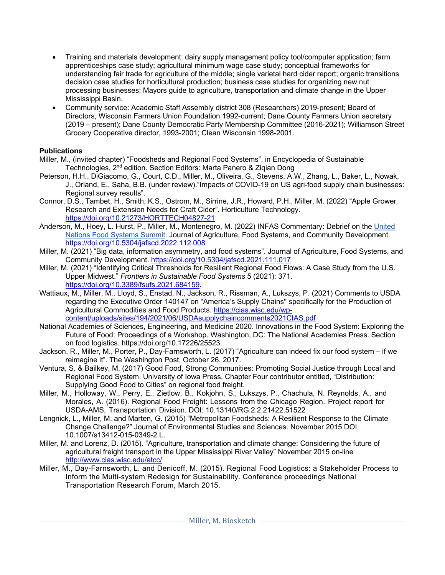- Training and materials development: dairy supply management policy tool/computer application; farm apprenticeships case study; agricultural minimum wage case study; conceptual frameworks for understanding fair trade for agriculture of the middle; single varietal hard cider report; organic transitions decision case studies for horticultural production; business case studies for organizing new nut processing businesses; Mayors guide to agriculture, transportation and climate change in the Upper Mississippi Basin.
- Community service: Academic Staff Assembly district 308 (Researchers) 2019-present; Board of Directors, Wisconsin Farmers Union Foundation 1992-current; Dane County Farmers Union secretary (2019 – present); Dane County Democratic Party Membership Committee (2016-2021); Williamson Street Grocery Cooperative director, 1993-2001; Clean Wisconsin 1998-2001.

# **Publications**

- Miller, M., (invited chapter) "Foodsheds and Regional Food Systems", in Encyclopedia of Sustainable Technologies, 2<sup>nd</sup> edition. Section Editors: Marta Panero & Ziqian Dong
- Peterson, H.H., DiGiacomo, G., Court, C.D., Miller, M., Oliveira, G., Stevens, A.W., Zhang, L., Baker, L., Nowak, J., Orland, E., Saha, B.B. (under review)."Impacts of COVID-19 on US agri-food supply chain businesses: Regional survey results".
- Connor, D.S., Tambet, H., Smith, K.S., Ostrom, M., Sirrine, J.R., Howard, P.H., Miller, M. (2022) "Apple Grower Research and Extension Needs for Craft Cider". Horticulture Technology. https://doi.org/10.21273/HORTTECH04827-21
- Anderson, M., Hoey, L. Hurst, P., Miller, M., Montenegro, M. (2022) INFAS Commentary: Debrief on the United Nations Food Systems Summit. Journal of Agriculture, Food Systems, and Community Development. https://doi.org/10.5304/jafscd.2022.112.008
- Miller, M. (2021) "Big data, information asymmetry, and food systems". Journal of Agriculture, Food Systems, and Community Development. https://doi.org/10.5304/jafscd.2021.111.017
- Miller, M. (2021) "Identifying Critical Thresholds for Resilient Regional Food Flows: A Case Study from the U.S. Upper Midwest." *Frontiers in Sustainable Food Systems* 5 (2021): 371. https://doi.org/10.3389/fsufs.2021.684159.
- Wattiaux, M., Miller, M., Lloyd, S., Enstad, N., Jackson, R., Rissman, A., Lukszys, P. (2021) Comments to USDA regarding the Executive Order 140147 on "America's Supply Chains'' specifically for the Production of Agricultural Commodities and Food Products. https://cias.wisc.edu/wpcontent/uploads/sites/194/2021/06/USDAsupplychaincomments2021CIAS.pdf
- National Academies of Sciences, Engineering, and Medicine 2020. Innovations in the Food System: Exploring the Future of Food: Proceedings of a Workshop. Washington, DC: The National Academies Press. Section on food logistics. https://doi.org/10.17226/25523.
- Jackson, R., Miller, M., Porter, P., Day-Farnsworth, L. (2017) "Agriculture can indeed fix our food system if we reimagine it". The Washington Post, October 26, 2017.
- Ventura, S. & Bailkey, M. (2017) Good Food, Strong Communities: Promoting Social Justice through Local and Regional Food System. University of Iowa Press. Chapter Four contributor entitled, "Distribution: Supplying Good Food to Cities" on regional food freight.
- Miller, M., Holloway, W., Perry, E., Zietlow, B., Kokjohn, S., Lukszys, P., Chachula, N. Reynolds, A., and Morales, A. (2016). Regional Food Freight: Lessons from the Chicago Region. Project report for USDA-AMS, Transportation Division. DOI: 10.13140/RG.2.2.21422.51522
- Lengnick, L., Miller, M. and Marten, G. (2015) "Metropolitan Foodsheds: A Resilient Response to the Climate Change Challenge?" Journal of Environmental Studies and Sciences. November 2015 DOI 10.1007/s13412-015-0349-2 L.
- Miller, M. and Lorenz, D. (2015). "Agriculture, transportation and climate change: Considering the future of agricultural freight transport in the Upper Mississippi River Valley" November 2015 on-line http://www.cias.wisc.edu/atcc/
- Miller, M., Day-Farnsworth, L. and Denicoff, M. (2015). Regional Food Logistics: a Stakeholder Process to Inform the Multi-system Redesign for Sustainability. Conference proceedings National Transportation Research Forum, March 2015.